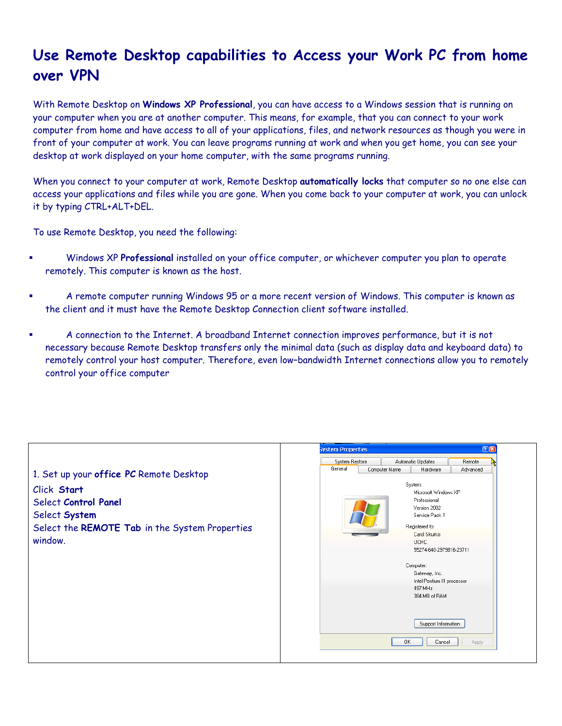## **Use Remote Desktop capabilities to Access your Work PC from home over VPN**

With Remote Desktop on **Windows XP Professional**, you can have access to a Windows session that is running on your computer when you are at another computer. This means, for example, that you can connect to your work computer from home and have access to all of your applications, files, and network resources as though you were in front of your computer at work. You can leave programs running at work and when you get home, you can see your desktop at work displayed on your home computer, with the same programs running.

When you connect to your computer at work, Remote Desktop **automatically locks** that computer so no one else can access your applications and files while you are gone. When you come back to your computer at work, you can unlock it by typing CTRL+ALT+DEL.

To use Remote Desktop, you need the following:

- Windows XP **Professional** installed on your office computer, or whichever computer you plan to operate remotely. This computer is known as the host.
- A remote computer running Windows 95 or a more recent version of Windows. This computer is known as the client and it must have the Remote Desktop Connection client software installed.
- A connection to the Internet. A broadband Internet connection improves performance, but it is not necessary because Remote Desktop transfers only the minimal data (such as display data and keyboard data) to remotely control your host computer. Therefore, even low–bandwidth Internet connections allow you to remotely control your office computer

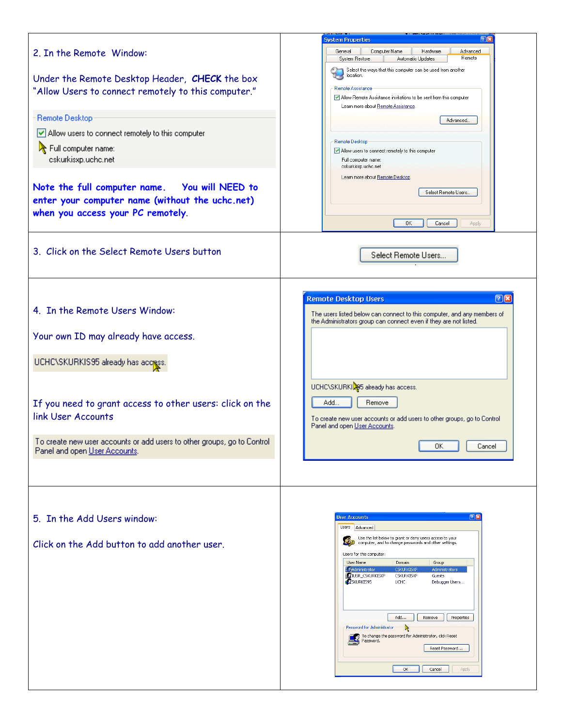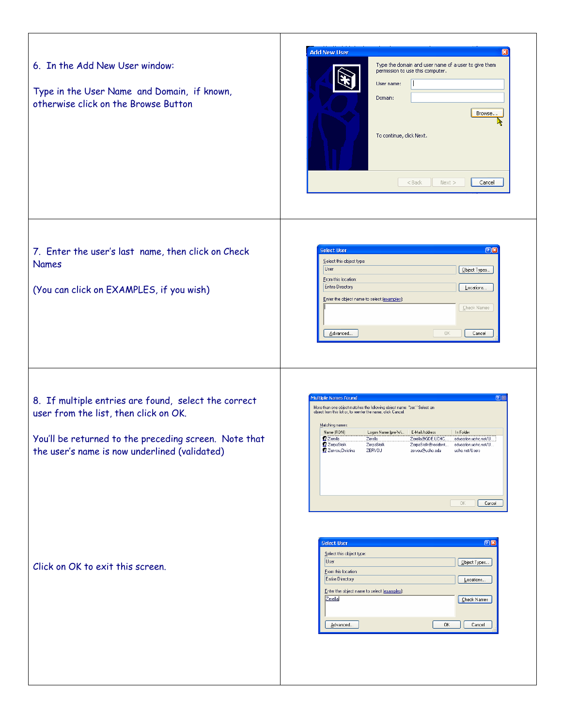| 6. In the Add New User window:<br>Type in the User Name and Domain, if known,<br>otherwise click on the Browse Button                                                                                   | <b>Add New User</b><br>Type the domain and user name of a user to give them<br>permission to use this computer.<br>User name:<br>Domain:<br>Browse<br>R<br>To continue, click Next.<br>$<$ Back<br>Next<br>Cancel                                                                                                                                                                                                                                                                                                           |
|---------------------------------------------------------------------------------------------------------------------------------------------------------------------------------------------------------|-----------------------------------------------------------------------------------------------------------------------------------------------------------------------------------------------------------------------------------------------------------------------------------------------------------------------------------------------------------------------------------------------------------------------------------------------------------------------------------------------------------------------------|
| 7. Enter the user's last name, then click on Check<br><b>Names</b><br>(You can click on EXAMPLES, if you wish)                                                                                          | 25<br><b>Select User</b><br>Select this object type:<br>User<br>Object Types<br>From this location:<br><b>Entire Directory</b><br>Locations<br>Enter the object name to select (examples):<br>Check Names<br>Advanced<br>OK.<br>Cancel                                                                                                                                                                                                                                                                                      |
| 8. If multiple entries are found, select the correct<br>user from the list, then click on OK.<br>You'll be returned to the preceding screen. Note that<br>the user's name is now underlined (validated) | 2 <sup>o</sup><br><b>Multiple Names Found</b><br>More than one object matches the following object name: "zer." Select an<br>object from this list or, to reenter the name, click Cancel.<br>Matching names:<br>Name (RDN)<br>Logon Name (pre-Wi   E-Mail Address<br>In Folder<br>Zerella<br>Zerella@GDE.UCHC<br>Zerella<br>education.uchc.net/U<br>₹Z ∠erpaStolk<br>∠erpaStolk<br>ZerpaStolk@resident<br>education.uchc.net/U.<br>Z Zervou, Christina<br>ZERVOU<br>zervou@uchc.edu<br>uchc.net/Users<br>$\Box K$<br>Cancel |
| Click on OK to exit this screen.                                                                                                                                                                        | 20<br><b>Select User</b><br>Select this object type:<br>User<br>Object Types<br>From this location:<br><b>Entire Directory</b><br>Locations<br>Enter the object name to select (examples):<br>Zerella<br>Check Names<br>Advanced<br>OK.<br>Cancel                                                                                                                                                                                                                                                                           |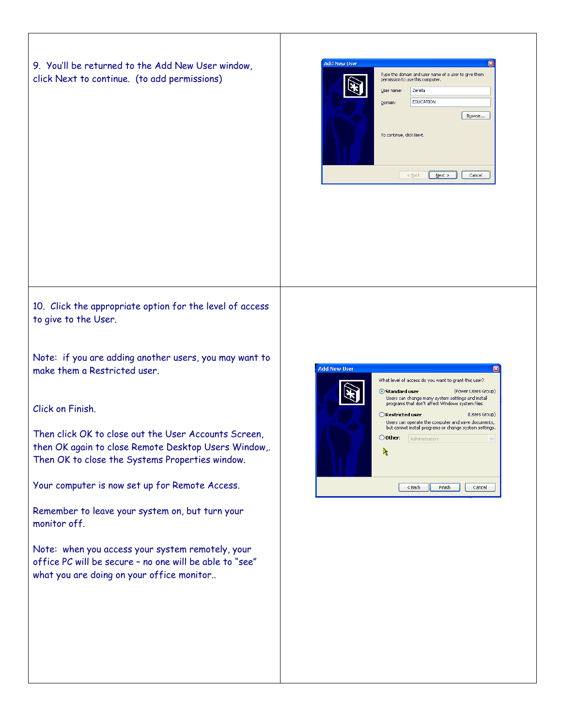9. You'll be returned to the Add New User window, click Next to continue. (to add permissions)

| <b>Add New User</b>      |                                                                                          | ⊠                            |
|--------------------------|------------------------------------------------------------------------------------------|------------------------------|
|                          | Type the domain and user name of a user to give them<br>permission to use this computer. |                              |
|                          | User name:                                                                               | Zerella                      |
|                          | Domain:                                                                                  | <b>EDUCATION</b>             |
| To continue, click Next. |                                                                                          | Browse                       |
|                          |                                                                                          | Cancel<br>$<$ Back<br>Next > |

10. Click the appropriate option for the level of access to give to the User.

Note: if you are adding another users, you may want to make them a Restricted user.

## Click on Finish.

Then click OK to close out the User Accounts Screen, then OK again to close Remote Desktop Users Window,. Then OK to close the Systems Properties window.

Your computer is now set up for Remote Access.

Remember to leave your system on, but turn your monitor off.

Note: when you access your system remotely, your office PC will be secure – no one will be able to "see" what you are doing on your office monitor..

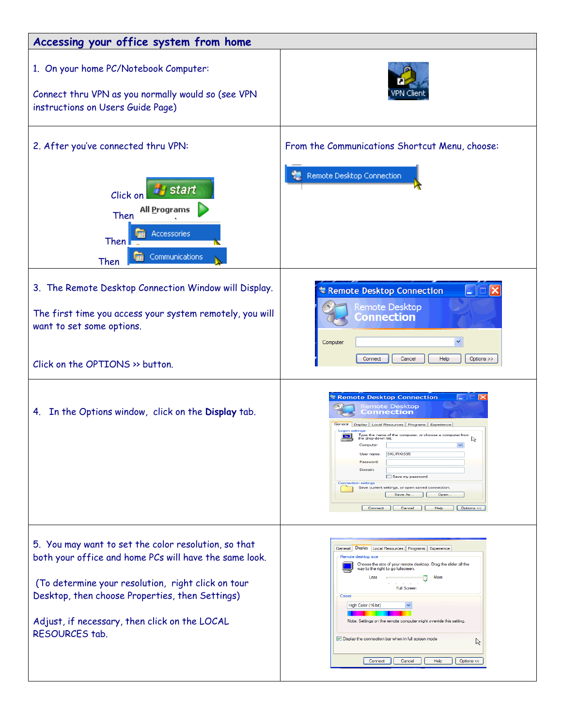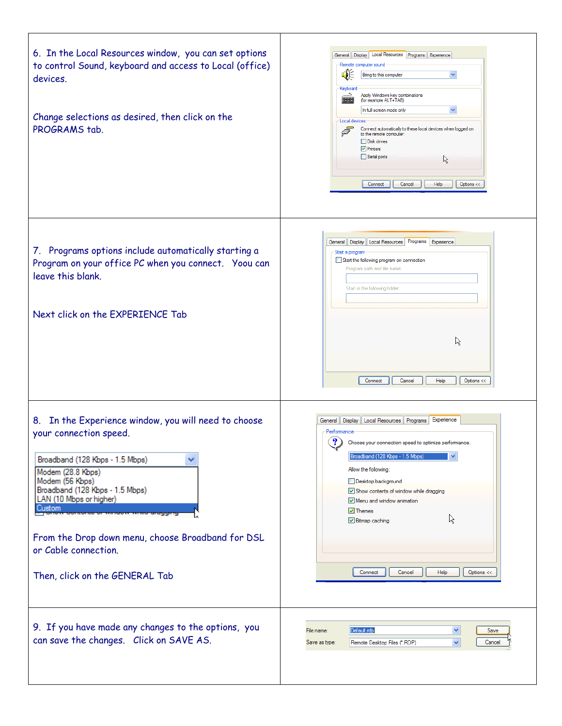| 6. In the Local Resources window, you can set options<br>to control Sound, keyboard and access to Local (office)<br>devices.<br>Change selections as desired, then click on the<br>PROGRAMS tab.                                                                                                                                                 | General Display Local Resources Programs Experience<br>Remote computer sound<br>()⊱<br>Bring to this computer<br>$\checkmark$<br>Keyboard<br>۵.<br>Apply Windows key combinations<br>(for example ALT+TAB)<br>举举<br>In full screen mode only<br>Local devices<br>Connect automatically to these local devices when logged on<br>Ī<br>to the remote computer:<br><b>Disk drives</b><br>$\nabla$ Printers<br>Serial ports<br>R<br>Connect<br>Cancel<br>Help<br>Options << |
|--------------------------------------------------------------------------------------------------------------------------------------------------------------------------------------------------------------------------------------------------------------------------------------------------------------------------------------------------|-------------------------------------------------------------------------------------------------------------------------------------------------------------------------------------------------------------------------------------------------------------------------------------------------------------------------------------------------------------------------------------------------------------------------------------------------------------------------|
| 7. Programs options include automatically starting a<br>Program on your office PC when you connect. Yoou can<br>leave this blank.<br>Next click on the EXPERIENCE Tab                                                                                                                                                                            | General   Display   Local Resources   Programs   Experience<br>Start a program<br>Start the following program on connection<br>Program path and file name.<br>Start in the following folder:<br>ド<br>Connect<br>Cancel<br>Help<br>Options <<                                                                                                                                                                                                                            |
| 8. In the Experience window, you will need to choose<br>your connection speed.<br>Broadband (128 Kbps - 1.5 Mbps)<br>Modem (28.8 Kbps)<br>Modem (56 Kbps)<br>Broadband (128 Kbps - 1.5 Mbps)<br>LAN (10 Mbps or higher)<br>Custom<br>From the Drop down menu, choose Broadband for DSL<br>or Cable connection.<br>Then, click on the GENERAL Tab | General   Display   Local Resources   Programs   Experience<br>Performance<br>?<br>Choose your connection speed to optimize performance.<br>✓<br>Broadband (128 Kbps - 1.5 Mbps)<br>Allow the following:<br>Desktop background<br>Show contents of window while dragging<br>Menu and window animation<br>$\triangledown$ Themes<br>R<br>$\vee$ Bitmap caching<br>Connect<br>Cancel<br>Help<br>Options <<                                                                |
| 9. If you have made any changes to the options, you<br>can save the changes. Click on SAVE AS.                                                                                                                                                                                                                                                   | Default.rdp<br>×<br>File name:<br>Save<br>$\checkmark$<br>Cancel<br>Save as type:<br>Remote Desktop Files (*.RDP)                                                                                                                                                                                                                                                                                                                                                       |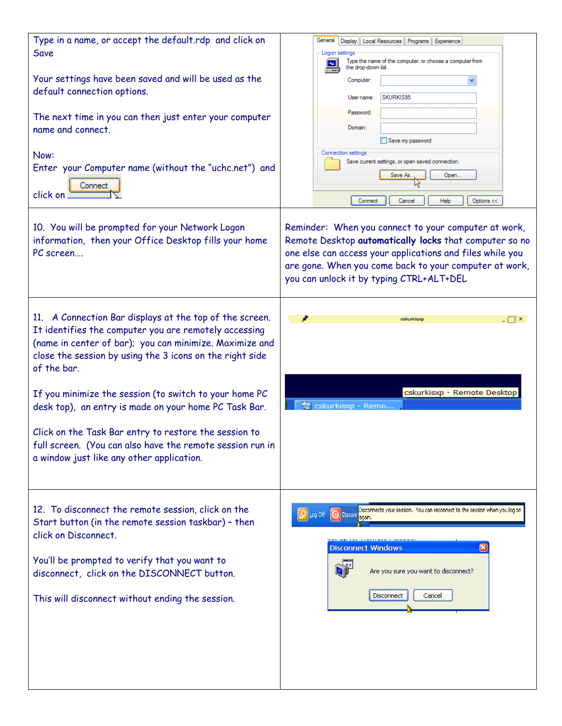| General I<br>Display   Local Resources   Programs   Experience<br>Logon settings<br>Type the name of the computer, or choose a computer from                                                                                                                                      |
|-----------------------------------------------------------------------------------------------------------------------------------------------------------------------------------------------------------------------------------------------------------------------------------|
| the drop-down list.<br>Computer:<br>SKURKIS95<br>User name:                                                                                                                                                                                                                       |
| Password:<br>Domain:<br>Save my password                                                                                                                                                                                                                                          |
| Connection settings<br>Save current settings, or open saved connection.<br>Open<br>Save As.<br>Help<br>Cancel<br>Options <<<br>Connect                                                                                                                                            |
| Reminder: When you connect to your computer at work,<br>Remote Desktop automatically locks that computer so no<br>one else can access your applications and files while you<br>are gone. When you come back to your computer at work,<br>you can unlock it by typing CTRL+ALT+DEL |
| cskurkisxp<br>™×                                                                                                                                                                                                                                                                  |
| cskurkisxp - Remote Desktop<br>cskurkisxp - Remo.                                                                                                                                                                                                                                 |
| Disconnects your session. You can reconnect to the session when you log on<br>Disconnel Disconnel<br>Disconnect Windows<br>Are you sure you want to disconnect?<br>Disconnect<br>Cancel                                                                                           |
|                                                                                                                                                                                                                                                                                   |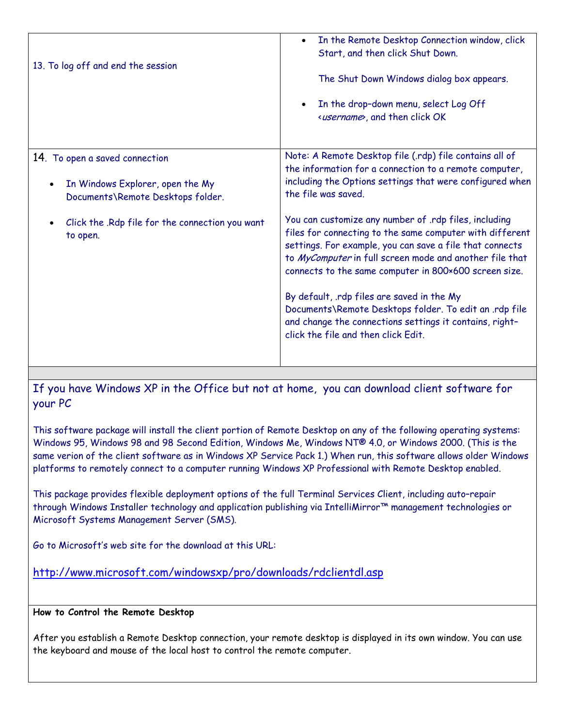| 13. To log off and end the session                                                                                                                                                               | In the Remote Desktop Connection window, click<br>$\bullet$<br>Start, and then click Shut Down.<br>The Shut Down Windows dialog box appears.<br>In the drop-down menu, select Log Off<br>$\bullet$<br><username>, and then click OK</username>                                                                                                                                                                                                                                                                                                                                                                                                                                                                     |
|--------------------------------------------------------------------------------------------------------------------------------------------------------------------------------------------------|--------------------------------------------------------------------------------------------------------------------------------------------------------------------------------------------------------------------------------------------------------------------------------------------------------------------------------------------------------------------------------------------------------------------------------------------------------------------------------------------------------------------------------------------------------------------------------------------------------------------------------------------------------------------------------------------------------------------|
| 14. To open a saved connection<br>In Windows Explorer, open the My<br>$\bullet$<br>Documents\Remote Desktops folder.<br>Click the .Rdp file for the connection you want<br>$\bullet$<br>to open. | Note: A Remote Desktop file (.rdp) file contains all of<br>the information for a connection to a remote computer,<br>including the Options settings that were configured when<br>the file was saved.<br>You can customize any number of .rdp files, including<br>files for connecting to the same computer with different<br>settings. For example, you can save a file that connects<br>to MyComputer in full screen mode and another file that<br>connects to the same computer in 800×600 screen size.<br>By default, rdp files are saved in the My<br>Documents\Remote Desktops folder. To edit an .rdp file<br>and change the connections settings it contains, right-<br>click the file and then click Edit. |

If you have Windows XP in the Office but not at home, you can download client software for your PC

This software package will install the client portion of Remote Desktop on any of the following operating systems: Windows 95, Windows 98 and 98 Second Edition, Windows Me, Windows NT® 4.0, or Windows 2000. (This is the same verion of the client software as in Windows XP Service Pack 1.) When run, this software allows older Windows platforms to remotely connect to a computer running Windows XP Professional with Remote Desktop enabled.

This package provides flexible deployment options of the full Terminal Services Client, including auto–repair through Windows Installer technology and application publishing via IntelliMirror™ management technologies or Microsoft Systems Management Server (SMS).

Go to Microsoft's web site for the download at this URL:

http://www.microsoft.com/windowsxp/pro/downloads/rdclientdl.asp

## **How to Control the Remote Desktop**

After you establish a Remote Desktop connection, your remote desktop is displayed in its own window. You can use the keyboard and mouse of the local host to control the remote computer.